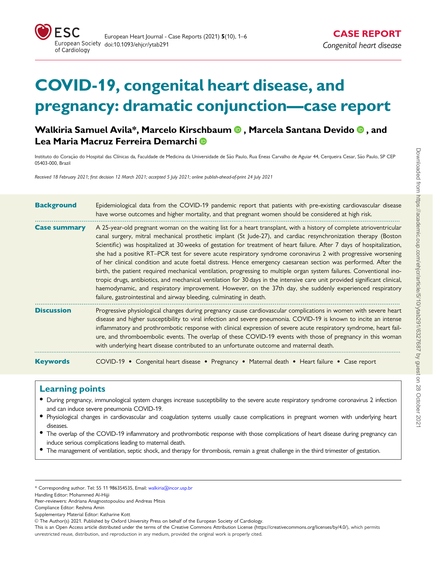

# COVID-19, congenital heart disease, and pregnancy: dramatic conjunction—case report

Walkiria Samuel Avila\*, Marcelo Kirschbaum <sup>®</sup>, Marcela Santana Devido <sup>®</sup>, and Lea Maria Macruz Ferreira Demarchi

Instituto do Coração do Hospital das Clínicas da, Faculdade de Medicina da Universidade de São Paulo, Rua Eneas Carvalho de Aguiar 44, Cerqueira Cesar, São Paulo, SP CEP 05403-000, Brazil

Received 18 February 2021; first decision 12 March 2021; accepted 5 July 2021; online publish-ahead-of-print 24 July 2021

| <b>Background</b>   | Epidemiological data from the COVID-19 pandemic report that patients with pre-existing cardiovascular disease<br>have worse outcomes and higher mortality, and that pregnant women should be considered at high risk.                                                                                                                                                                                                                                                                                                                                                                                                                                                                                                                                                                                                                                                                                                                                                                                                                             |  |  |  |  |  |
|---------------------|---------------------------------------------------------------------------------------------------------------------------------------------------------------------------------------------------------------------------------------------------------------------------------------------------------------------------------------------------------------------------------------------------------------------------------------------------------------------------------------------------------------------------------------------------------------------------------------------------------------------------------------------------------------------------------------------------------------------------------------------------------------------------------------------------------------------------------------------------------------------------------------------------------------------------------------------------------------------------------------------------------------------------------------------------|--|--|--|--|--|
| <b>Case summary</b> | A 25-year-old pregnant woman on the waiting list for a heart transplant, with a history of complete atrioventricular<br>canal surgery, mitral mechanical prosthetic implant (St Jude-27), and cardiac resynchronization therapy (Boston<br>Scientific) was hospitalized at 30 weeks of gestation for treatment of heart failure. After 7 days of hospitalization,<br>she had a positive RT-PCR test for severe acute respiratory syndrome coronavirus 2 with progressive worsening<br>of her clinical condition and acute foetal distress. Hence emergency caesarean section was performed. After the<br>birth, the patient required mechanical ventilation, progressing to multiple organ system failures. Conventional ino-<br>tropic drugs, antibiotics, and mechanical ventilation for 30 days in the intensive care unit provided significant clinical,<br>haemodynamic, and respiratory improvement. However, on the 37th day, she suddenly experienced respiratory<br>failure, gastrointestinal and airway bleeding, culminating in death. |  |  |  |  |  |
| <b>Discussion</b>   | Progressive physiological changes during pregnancy cause cardiovascular complications in women with severe heart<br>disease and higher susceptibility to viral infection and severe pneumonia. COVID-19 is known to incite an intense<br>inflammatory and prothrombotic response with clinical expression of severe acute respiratory syndrome, heart fail-<br>ure, and thromboembolic events. The overlap of these COVID-19 events with those of pregnancy in this woman<br>with underlying heart disease contributed to an unfortunate outcome and maternal death.                                                                                                                                                                                                                                                                                                                                                                                                                                                                              |  |  |  |  |  |
| <b>Keywords</b>     | COVID-19 • Congenital heart disease • Pregnancy • Maternal death • Heart failure • Case report                                                                                                                                                                                                                                                                                                                                                                                                                                                                                                                                                                                                                                                                                                                                                                                                                                                                                                                                                    |  |  |  |  |  |

### Learning points

- During pregnancy, immunological system changes increase susceptibility to the severe acute respiratory syndrome coronavirus 2 infection and can induce severe pneumonia COVID-19.
- Physiological changes in cardiovascular and coagulation systems usually cause complications in pregnant women with underlying heart diseases.
- The overlap of the COVID-19 inflammatory and prothrombotic response with those complications of heart disease during pregnancy can induce serious complications leading to maternal death.
- The management of ventilation, septic shock, and therapy for thrombosis, remain a great challenge in the third trimester of gestation.

<sup>\*</sup> Corresponding author. Tel: 55 11 986354535, Email: walkiria@incor.usp.br

Handling Editor: Mohammed Al-Hijji

Peer-reviewers: Andriana Anagnostopoulou and Andreas Mitsis

Compliance Editor: Reshma Amin

Supplementary Material Editor: Katharine Kott

V<sup>C</sup> The Author(s) 2021. Published by Oxford University Press on behalf of the European Society of Cardiology.

This is an Open Access article distributed under the terms of the Creative Commons Attribution License [\(https://creativecommons.org/licenses/by/4.0/](Undefined namespace prefix
xmlXPathCompOpEval: parameter error
xmlXPathEval: evaluation failed
)), which permits unrestricted reuse, distribution, and reproduction in any medium, provided the original work is properly cited.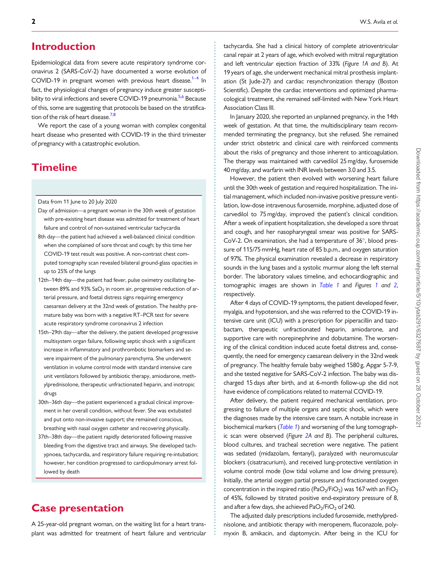### <span id="page-1-0"></span>**Introduction**

Epidemiological data from severe acute respiratory syndrome coronavirus 2 (SARS-CoV-2) have documented a worse evolution of COVID-19 in pregnant women with previous heart disease.<sup>1–4</sup> In fact, the physiological changes of pregnancy induce greater suscepti-bility to viral infections and severe COVID-19 pneumonia.<sup>5,[6](#page-5-0)</sup> Because of this, some are suggesting that protocols be based on the stratification of the risk of heart disease.<sup>7,8</sup>

We report the case of a young woman with complex congenital heart disease who presented with COVID-19 in the third trimester of pregnancy with a catastrophic evolution.

### **Timeline**

Data from 11 June to 20 July 2020

- Day of admission—a pregnant woman in the 30th week of gestation with pre-existing heart disease was admitted for treatment of heart failure and control of non-sustained ventricular tachycardia
- 8th day—the patient had achieved a well-balanced clinical condition when she complained of sore throat and cough; by this time her COVID-19 test result was positive. A non-contrast chest computed tomography scan revealed bilateral ground-glass opacities in up to 25% of the lungs
- 12th–14th day—the patient had fever, pulse oximetry oscillating between 89% and 93%  $SaO<sub>2</sub>$  in room air, progressive reduction of arterial pressure, and foetal distress signs requiring emergency caesarean delivery at the 32nd week of gestation. The healthy premature baby was born with a negative RT–PCR test for severe acute respiratory syndrome coronavirus 2 infection
- 15th–29th day—after the delivery, the patient developed progressive multisystem organ failure, following septic shock with a significant increase in inflammatory and prothrombotic biomarkers and severe impairment of the pulmonary parenchyma. She underwent ventilation in volume control mode with standard intensive care unit ventilators followed by antibiotic therapy, amiodarone, methylprednisolone, therapeutic unfractionated heparin, and inotropic drugs
- 30th–36th day—the patient experienced a gradual clinical improvement in her overall condition, without fever. She was extubated and put onto non-invasive support; she remained conscious, breathing with nasal oxygen catheter and recovering physically.
- 37th–38th day—the patient rapidly deteriorated following massive bleeding from the digestive tract and airways. She developed tachypnoea, tachycardia, and respiratory failure requiring re-intubation; however, her condition progressed to cardiopulmonary arrest followed by death

### Case presentation

A 25-year-old pregnant woman, on the waiting list for a heart transplant was admitted for treatment of heart failure and ventricular tachycardia. She had a clinical history of complete atrioventricular canal repair at 2 years of age, which evolved with mitral regurgitation and left ventricular ejection fraction of 33% (Figure [1A](#page-2-0) and B). At 19 years of age, she underwent mechanical mitral prosthesis implantation (St Jude-27) and cardiac resynchronization therapy (Boston Scientific). Despite the cardiac interventions and optimized pharmacological treatment, she remained self-limited with New York Heart Association Class III.

In January 2020, she reported an unplanned pregnancy, in the 14th week of gestation. At that time, the multidisciplinary team recommended terminating the pregnancy, but she refused. She remained under strict obstetric and clinical care with reinforced comments about the risks of pregnancy and those inherent to anticoagulation. The therapy was maintained with carvedilol 25 mg/day, furosemide 40 mg/day, and warfarin with INR levels between 3.0 and 3.5.

However, the patient then evolved with worsening heart failure until the 30th week of gestation and required hospitalization. The initial management, which included non-invasive positive pressure ventilation, low-dose intravenous furosemide, morphine, adjusted dose of carvedilol to 75 mg/day, improved the patient's clinical condition. After a week of inpatient hospitalization, she developed a sore throat and cough, and her nasopharyngeal smear was positive for SARS-CoV-2. On examination, she had a temperature of 36°, blood pressure of 115/75 mmHg, heart rate of 85 b.p.m., and oxygen saturation of 97%. The physical examination revealed a decrease in respiratory sounds in the lung bases and a systolic murmur along the left sternal border. The laboratory values timeline, and echocardiographic and tomographic images are shown in [Table 1](#page-3-0) and Figures [1](#page-2-0) and [2](#page-3-0), respectively.

After 4 days of COVID-19 symptoms, the patient developed fever, myalgia, and hypotension, and she was referred to the COVID-19 intensive care unit (ICU) with a prescription for piperacillin and tazobactam, therapeutic unfractionated heparin, amiodarone, and supportive care with norepinephrine and dobutamine. The worsening of the clinical condition induced acute foetal distress and, consequently, the need for emergency caesarean delivery in the 32nd week of pregnancy. The healthy female baby weighed 1580 g, Apgar 5-7-9, and she tested negative for SARS-CoV-2 infection. The baby was discharged 15 days after birth, and at 6-month follow-up she did not have evidence of complications related to maternal COVID-19.

After delivery, the patient required mechanical ventilation, progressing to failure of multiple organs and septic shock, which were the diagnoses made by the intensive care team. A notable increase in biochemical markers ([Table 1](#page-3-0)) and worsening of the lung tomographic scan were observed (Figure [2](#page-3-0)A and B). The peripheral cultures, blood cultures, and tracheal secretion were negative. The patient was sedated (midazolam, fentanyl), paralyzed with neuromuscular blockers (cisatracurium), and received lung-protective ventilation in volume control mode (low tidal volume and low driving pressure). Initially, the arterial oxygen partial pressure and fractionated oxygen concentration in the inspired ratio (PaO<sub>2</sub>/FiO<sub>2</sub>) was 167 with an FiO<sub>2</sub> of 45%, followed by titrated positive end-expiratory pressure of 8, and after a few days, she achieved  $PaO<sub>2</sub>/FiO<sub>2</sub>$  of 240.

The adjusted daily prescriptions included furosemide, methylprednisolone, and antibiotic therapy with meropenem, fluconazole, polymyxin B, amikacin, and daptomycin. After being in the ICU for

. . . . . . . . . . . . . . . . . . . . . . . . . . . . . . . . . . . . . . . . . . . . . . . . . . . . . . . . . . . . . . . . . . . . . . . . . . . . . . . . . . . . . . . . . . . . . . . . . . . . . . . . . . . . . . . . . . . . . . . . . . . . . . . . . . . . . . . . . . . . . . . . . . . . . . . . . . . . . . . . . . . . . . . . . . . .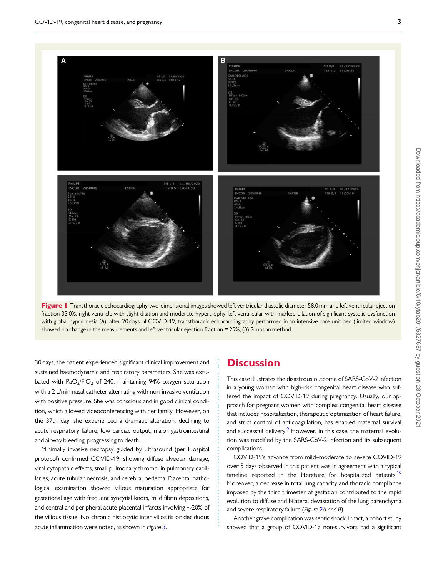<span id="page-2-0"></span>



. . . . . . . . . . . . . . . . . . . . . . . . . . . . . . . . . . . . . . . . . . . . . . . . . . . . . . . . . . .

. 30 days, the patient experienced significant clinical improvement and sustained haemodynamic and respiratory parameters. She was extubated with PaO<sub>2</sub>/FiO<sub>2</sub> of 240, maintaining 94% oxygen saturation with a 2 L/min nasal catheter alternating with non-invasive ventilation with positive pressure. She was conscious and in good clinical condition, which allowed videoconferencing with her family. However, on the 37th day, she experienced a dramatic alteration, declining to acute respiratory failure, low cardiac output, major gastrointestinal and airway bleeding, progressing to death.

Minimally invasive necropsy guided by ultrasound (per Hospital protocol) confirmed COVID-19, showing diffuse alveolar damage, viral cytopathic effects, small pulmonary thrombi in pulmonary capillaries, acute tubular necrosis, and cerebral oedema. Placental pathological examination showed villous maturation appropriate for gestational age with frequent syncytial knots, mild fibrin depositions, and central and peripheral acute placental infarcts involving  $\sim$ 20% of the villous tissue. No chronic histiocytic inter villositis or deciduous acute inflammation were noted, as shown in Figure [3](#page-4-0).

### **Discussion**

This case illustrates the disastrous outcome of SARS-CoV-2 infection in a young woman with high-risk congenital heart disease who suffered the impact of COVID-19 during pregnancy. Usually, our approach for pregnant women with complex congenital heart disease that includes hospitalization, therapeutic optimization of heart failure, and strict control of anticoagulation, has enabled maternal survival and successful delivery.<sup>9</sup> However, in this case, the maternal evolution was modified by the SARS-CoV-2 infection and its subsequent complications.

COVID-19's advance from mild–moderate to severe COVID-19 over 5 days observed in this patient was in agreement with a typical timeline reported in the literature for hospitalized patients.<sup>[10](#page-5-0)</sup> Moreover, a decrease in total lung capacity and thoracic compliance imposed by the third trimester of gestation contributed to the rapid evolution to diffuse and bilateral devastation of the lung parenchyma and severe respiratory failure (Figure [2](#page-3-0)A and B).

Another grave complication was septic shock. In fact, a cohort study showed that a group of COVID-19 non-survivors had a significant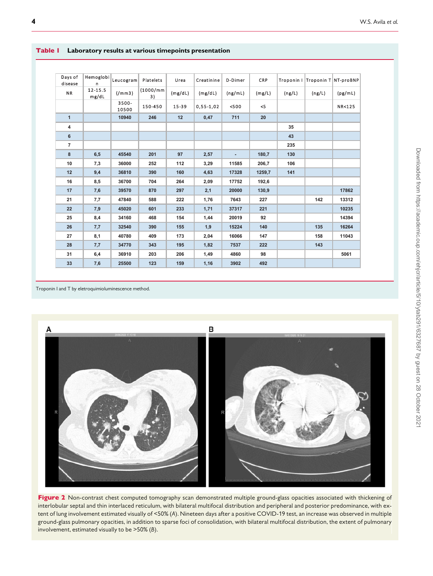| Days of<br>disease | Hemoglobi<br>n   | Leucogram         | Platelets       | Urea    | Creatinine  | D-Dimer | <b>CRP</b> |        | Troponin I Troponin T NT-proBNP |         |
|--------------------|------------------|-------------------|-----------------|---------|-------------|---------|------------|--------|---------------------------------|---------|
| <b>NR</b>          | 12-15.5<br>mg/dL | (7mm3)            | (1000/mm)<br>3) | (mg/dL) | (mg/dL)     | (ng/mL) | (mg/L)     | (ng/L) | (ng/L)                          | (pg/mL) |
|                    |                  | $3500 -$<br>10500 | 150-450         | 15-39   | $0,55-1,02$ | < 500   | < 5        |        |                                 | NR<125  |
| $\mathbf{1}$       |                  | 10940             | 246             | 12      | 0,47        | 711     | 20         |        |                                 |         |
| 4                  |                  |                   |                 |         |             |         |            | 35     |                                 |         |
| 6                  |                  |                   |                 |         |             |         |            | 43     |                                 |         |
| $\overline{7}$     |                  |                   |                 |         |             |         |            | 235    |                                 |         |
| 8                  | 6,5              | 45540             | 201             | 97      | 2,57        | ٠       | 180,7      | 130    |                                 |         |
| 10                 | 7,3              | 36000             | 252             | 112     | 3,29        | 11585   | 206,7      | 106    |                                 |         |
| 12                 | 9,4              | 36810             | 390             | 160     | 4,63        | 17328   | 1259,7     | 141    |                                 |         |
| 16                 | 8,5              | 36700             | 704             | 264     | 2,09        | 17752   | 192,6      |        |                                 |         |
| 17                 | 7,6              | 39570             | 870             | 297     | 2,1         | 20000   | 130,9      |        |                                 | 17862   |
| 21                 | 7,7              | 47840             | 588             | 222     | 1,76        | 7643    | 227        |        | 142                             | 13312   |
| 22                 | 7,9              | 45020             | 601             | 233     | 1,71        | 37317   | 221        |        |                                 | 10235   |
| 25                 | 8,4              | 34160             | 468             | 154     | 1,44        | 20019   | 92         |        |                                 | 14394   |
| 26                 | 7,7              | 32540             | 390             | 155     | 1,9         | 15224   | 140        |        | 135                             | 16264   |
| 27                 | 8,1              | 40780             | 409             | 173     | 2,04        | 16066   | 147        |        | 158                             | 11043   |
| 28                 | 7,7              | 34770             | 343             | 195     | 1,82        | 7537    | 222        |        | 143                             |         |
| 31                 | 6,4              | 36910             | 203             | 206     | 1,49        | 4860    | 98         |        |                                 | 5061    |
| 33                 | 7,6              | 25500             | 123             | 159     | 1,16        | 3902    | 492        |        |                                 |         |

#### <span id="page-3-0"></span>Table 1 Laboratory results at various timepoints presentation

Troponin I and T by eletroquimioluminescence method.



Figure 2 Non-contrast chest computed tomography scan demonstrated multiple ground-glass opacities associated with thickening of interlobular septal and thin interlaced reticulum, with bilateral multifocal distribution and peripheral and posterior predominance, with extent of lung involvement estimated visually of <50% (A). Nineteen days after a positive COVID-19 test, an increase was observed in multiple ground-glass pulmonary opacities, in addition to sparse foci of consolidation, with bilateral multifocal distribution, the extent of pulmonary involvement, estimated visually to be >50% (B).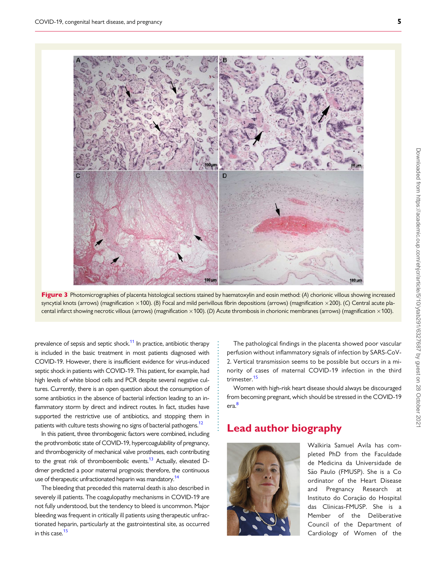<span id="page-4-0"></span>



. . . . . . . . . . . . . . . . . . . . . . . . . . . . . . .

prevalence of sepsis and septic shock.<sup>[11](#page-5-0)</sup> In practice, antibiotic therapy is included in the basic treatment in most patients diagnosed with COVID-19. However, there is insufficient evidence for virus-induced septic shock in patients with COVID-19. This patient, for example, had high levels of white blood cells and PCR despite several negative cultures. Currently, there is an open question about the consumption of some antibiotics in the absence of bacterial infection leading to an inflammatory storm by direct and indirect routes. In fact, studies have supported the restrictive use of antibiotics, and stopping them in patients with culture tests showing no signs of bacterial pathogens.<sup>12</sup>

In this patient, three thrombogenic factors were combined, including the prothrombotic state of COVID-19, hypercoagulability of pregnancy, and thrombogenicity of mechanical valve prostheses, each contributing to the great risk of thromboembolic events.<sup>[13](#page-5-0)</sup> Actually, elevated Ddimer predicted a poor maternal prognosis; therefore, the continuous use of therapeutic unfractionated heparin was mandatory.<sup>[14](#page-5-0)</sup>

The bleeding that preceded this maternal death is also described in severely ill patients. The coagulopathy mechanisms in COVID-19 are not fully understood, but the tendency to bleed is uncommon. Major bleeding was frequent in critically ill patients using therapeutic unfractionated heparin, particularly at the gastrointestinal site, as occurred in this case  $15$ 

The pathological findings in the placenta showed poor vascular perfusion without inflammatory signals of infection by SARS-CoV-2. Vertical transmission seems to be possible but occurs in a minority of cases of maternal COVID-19 infection in the third trimester.[15](#page-5-0)

Women with high-risk heart disease should always be discouraged from becoming pregnant, which should be stressed in the COVID-19 era[.8](#page-5-0)

## Lead author biography



Walkiria Samuel Avila has completed PhD from the Faculdade de Medicina da Universidade de São Paulo (FMUSP). She is a Co ordinator of the Heart Disease and Pregnancy Research at Instituto do Coração do Hospital das Clinicas-FMUSP. She is a Member of the Deliberative Council of the Department of Cardiology of Women of the